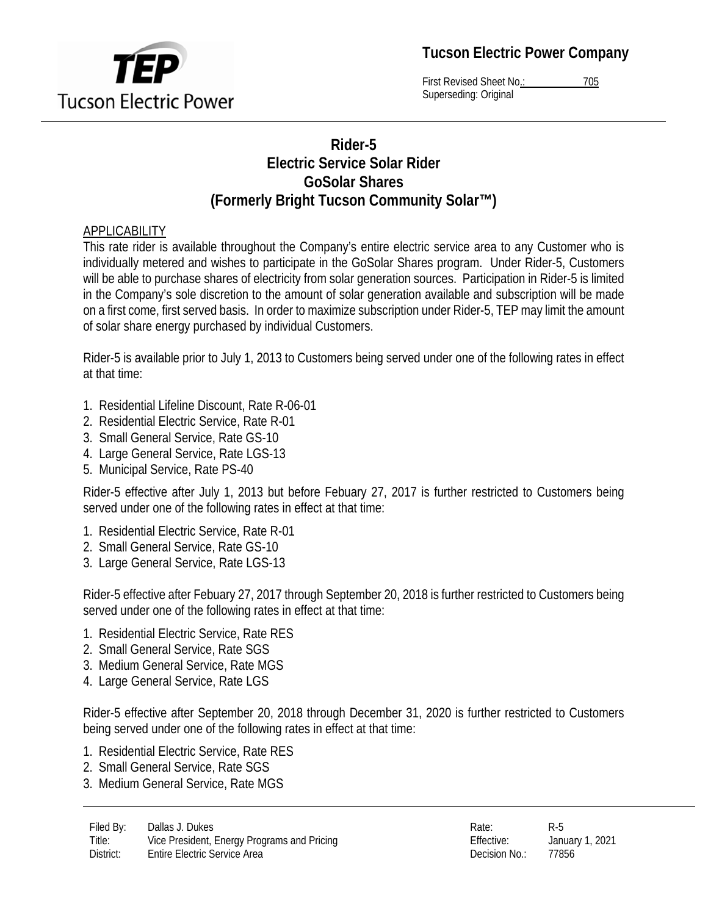



First Revised Sheet No.: 705 Superseding: Original

# **Rider-5 Electric Service Solar Rider GoSolar Shares (Formerly Bright Tucson Community Solar™)**

## APPLICABILITY

This rate rider is available throughout the Company's entire electric service area to any Customer who is individually metered and wishes to participate in the GoSolar Shares program. Under Rider-5, Customers will be able to purchase shares of electricity from solar generation sources. Participation in Rider-5 is limited in the Company's sole discretion to the amount of solar generation available and subscription will be made on a first come, first served basis. In order to maximize subscription under Rider-5, TEP may limit the amount of solar share energy purchased by individual Customers.

Rider-5 is available prior to July 1, 2013 to Customers being served under one of the following rates in effect at that time:

- 1. Residential Lifeline Discount, Rate R-06-01
- 2. Residential Electric Service, Rate R-01
- 3. Small General Service, Rate GS-10
- 4. Large General Service, Rate LGS-13
- 5. Municipal Service, Rate PS-40

Rider-5 effective after July 1, 2013 but before Febuary 27, 2017 is further restricted to Customers being served under one of the following rates in effect at that time:

- 1. Residential Electric Service, Rate R-01
- 2. Small General Service, Rate GS-10
- 3. Large General Service, Rate LGS-13

Rider-5 effective after Febuary 27, 2017 through September 20, 2018 is further restricted to Customers being served under one of the following rates in effect at that time:

- 1. Residential Electric Service, Rate RES
- 2. Small General Service, Rate SGS
- 3. Medium General Service, Rate MGS
- 4. Large General Service, Rate LGS

Rider-5 effective after September 20, 2018 through December 31, 2020 is further restricted to Customers being served under one of the following rates in effect at that time:

- 1. Residential Electric Service, Rate RES
- 2. Small General Service, Rate SGS
- 3. Medium General Service, Rate MGS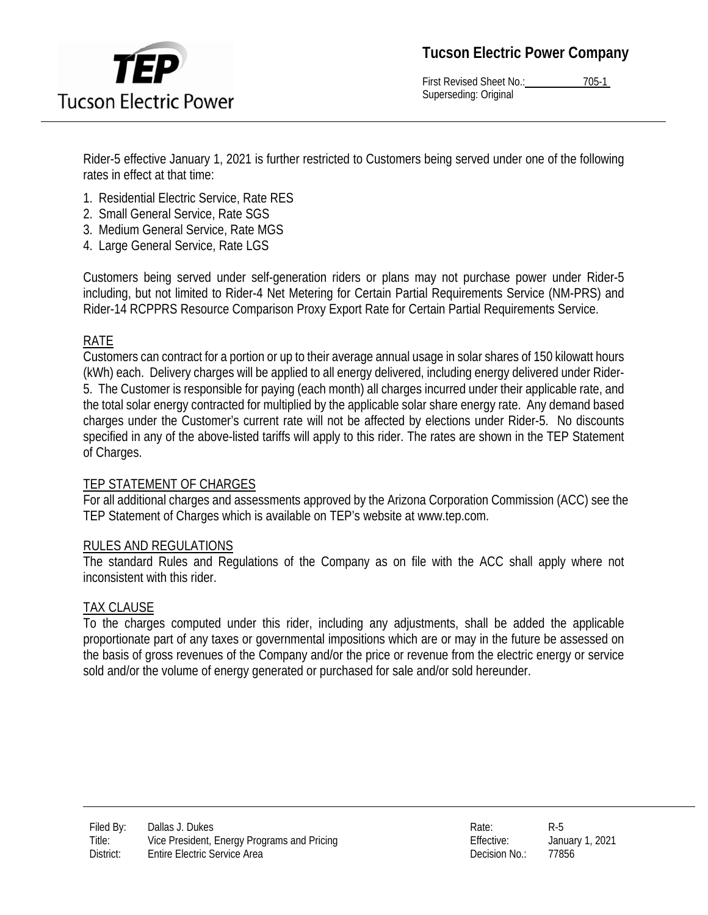

**Tucson Electric Power Company** 

First Revised Sheet No.: 705-1 Superseding: Original

Rider-5 effective January 1, 2021 is further restricted to Customers being served under one of the following rates in effect at that time:

- 1. Residential Electric Service, Rate RES
- 2. Small General Service, Rate SGS
- 3. Medium General Service, Rate MGS
- 4. Large General Service, Rate LGS

Customers being served under self-generation riders or plans may not purchase power under Rider-5 including, but not limited to Rider-4 Net Metering for Certain Partial Requirements Service (NM-PRS) and Rider-14 RCPPRS Resource Comparison Proxy Export Rate for Certain Partial Requirements Service.

### RATE

Customers can contract for a portion or up to their average annual usage in solar shares of 150 kilowatt hours (kWh) each. Delivery charges will be applied to all energy delivered, including energy delivered under Rider-5. The Customer is responsible for paying (each month) all charges incurred under their applicable rate, and the total solar energy contracted for multiplied by the applicable solar share energy rate. Any demand based charges under the Customer's current rate will not be affected by elections under Rider-5. No discounts specified in any of the above-listed tariffs will apply to this rider. The rates are shown in the TEP Statement of Charges.

### TEP STATEMENT OF CHARGES

For all additional charges and assessments approved by the Arizona Corporation Commission (ACC) see the TEP Statement of Charges which is available on TEP's website at www.tep.com.

### RULES AND REGULATIONS

The standard Rules and Regulations of the Company as on file with the ACC shall apply where not inconsistent with this rider.

### TAX CLAUSE

To the charges computed under this rider, including any adjustments, shall be added the applicable proportionate part of any taxes or governmental impositions which are or may in the future be assessed on the basis of gross revenues of the Company and/or the price or revenue from the electric energy or service sold and/or the volume of energy generated or purchased for sale and/or sold hereunder.